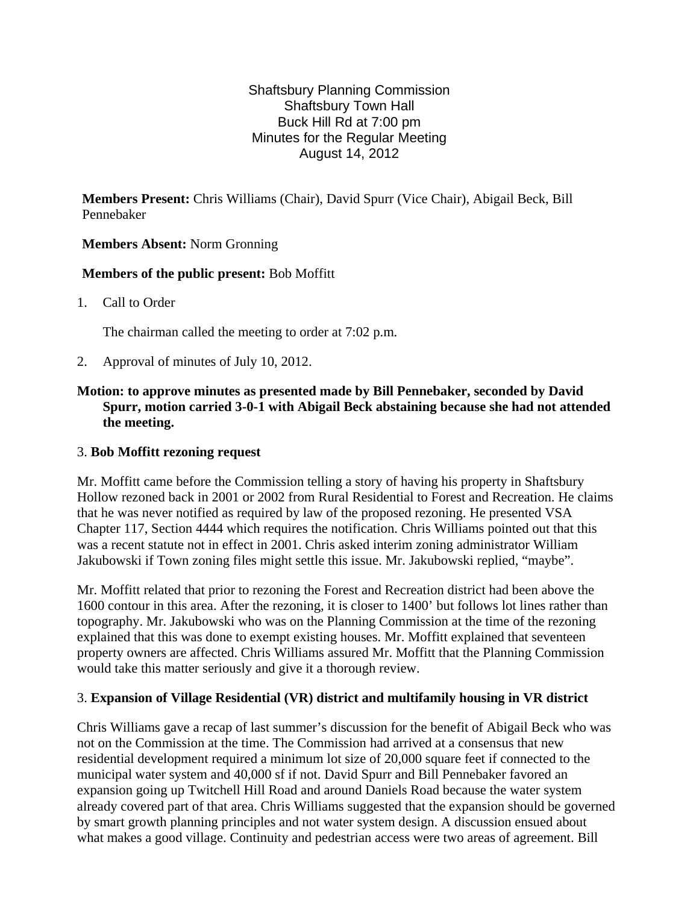### Shaftsbury Planning Commission Shaftsbury Town Hall Buck Hill Rd at 7:00 pm Minutes for the Regular Meeting August 14, 2012

**Members Present:** Chris Williams (Chair), David Spurr (Vice Chair), Abigail Beck, Bill Pennebaker

# **Members Absent:** Norm Gronning

### **Members of the public present:** Bob Moffitt

1. Call to Order

The chairman called the meeting to order at 7:02 p.m.

2. Approval of minutes of July 10, 2012.

# **Motion: to approve minutes as presented made by Bill Pennebaker, seconded by David Spurr, motion carried 3-0-1 with Abigail Beck abstaining because she had not attended the meeting.**

## 3. **Bob Moffitt rezoning request**

Mr. Moffitt came before the Commission telling a story of having his property in Shaftsbury Hollow rezoned back in 2001 or 2002 from Rural Residential to Forest and Recreation. He claims that he was never notified as required by law of the proposed rezoning. He presented VSA Chapter 117, Section 4444 which requires the notification. Chris Williams pointed out that this was a recent statute not in effect in 2001. Chris asked interim zoning administrator William Jakubowski if Town zoning files might settle this issue. Mr. Jakubowski replied, "maybe".

Mr. Moffitt related that prior to rezoning the Forest and Recreation district had been above the 1600 contour in this area. After the rezoning, it is closer to 1400' but follows lot lines rather than topography. Mr. Jakubowski who was on the Planning Commission at the time of the rezoning explained that this was done to exempt existing houses. Mr. Moffitt explained that seventeen property owners are affected. Chris Williams assured Mr. Moffitt that the Planning Commission would take this matter seriously and give it a thorough review.

### 3. **Expansion of Village Residential (VR) district and multifamily housing in VR district**

Chris Williams gave a recap of last summer's discussion for the benefit of Abigail Beck who was not on the Commission at the time. The Commission had arrived at a consensus that new residential development required a minimum lot size of 20,000 square feet if connected to the municipal water system and 40,000 sf if not. David Spurr and Bill Pennebaker favored an expansion going up Twitchell Hill Road and around Daniels Road because the water system already covered part of that area. Chris Williams suggested that the expansion should be governed by smart growth planning principles and not water system design. A discussion ensued about what makes a good village. Continuity and pedestrian access were two areas of agreement. Bill